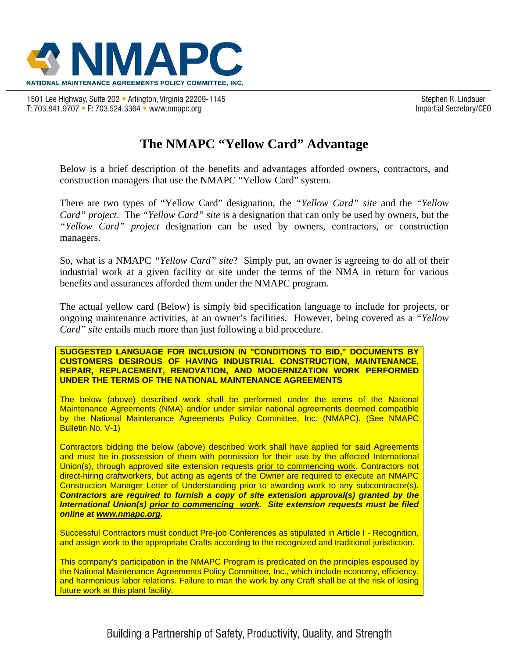

1501 Lee Highway, Suite 202 • Arlington, Virginia 22209-1145 T: 703.841.9707 • F: 703.524.3364 • www.nmapc.org

Stephen R. Lindauer Impartial Secretary/CEO

## **The NMAPC "Yellow Card" Advantage**

Below is a brief description of the benefits and advantages afforded owners, contractors, and construction managers that use the NMAPC "Yellow Card" system.

There are two types of "Yellow Card" designation, the *"Yellow Card" site* and the *"Yellow Card" project*. The *"Yellow Card" site* is a designation that can only be used by owners, but the *"Yellow Card" project* designation can be used by owners, contractors, or construction managers.

So, what is a NMAPC *"Yellow Card" site*? Simply put, an owner is agreeing to do all of their industrial work at a given facility or site under the terms of the NMA in return for various benefits and assurances afforded them under the NMAPC program.

The actual yellow card (Below) is simply bid specification language to include for projects, or ongoing maintenance activities, at an owner's facilities. However, being covered as a *"Yellow Card" site* entails much more than just following a bid procedure.

**SUGGESTED LANGUAGE FOR INCLUSION IN "CONDITIONS TO BID," DOCUMENTS BY CUSTOMERS DESIROUS OF HAVING INDUSTRIAL CONSTRUCTION, MAINTENANCE, REPAIR, REPLACEMENT, RENOVATION, AND MODERNIZATION WORK PERFORMED UNDER THE TERMS OF THE NATIONAL MAINTENANCE AGREEMENTS** 

The below (above) described work shall be performed under the terms of the National Maintenance Agreements (NMA) and/or under similar national agreements deemed compatible by the National Maintenance Agreements Policy Committee, Inc. (NMAPC). (See NMAPC Bulletin No. V-1)

Contractors bidding the below (above) described work shall have applied for said Agreements and must be in possession of them with permission for their use by the affected International Union(s), through approved site extension requests prior to commencing work. Contractors not direct-hiring craftworkers, but acting as agents of the Owner are required to execute an NMAPC Construction Manager Letter of Understanding prior to awarding work to any subcontractor(s). *Contractors are required to furnish a copy of site extension approval(s) granted by the International Union(s) prior to commencing work. Site extension requests must be filed online at www.nmapc.org.* 

Successful Contractors must conduct Pre-job Conferences as stipulated in Article I - Recognition, and assign work to the appropriate Crafts according to the recognized and traditional jurisdiction.

This company's participation in the NMAPC Program is predicated on the principles espoused by the National Maintenance Agreements Policy Committee, Inc., which include economy, efficiency, and harmonious labor relations. Failure to man the work by any Craft shall be at the risk of losing future work at this plant facility.